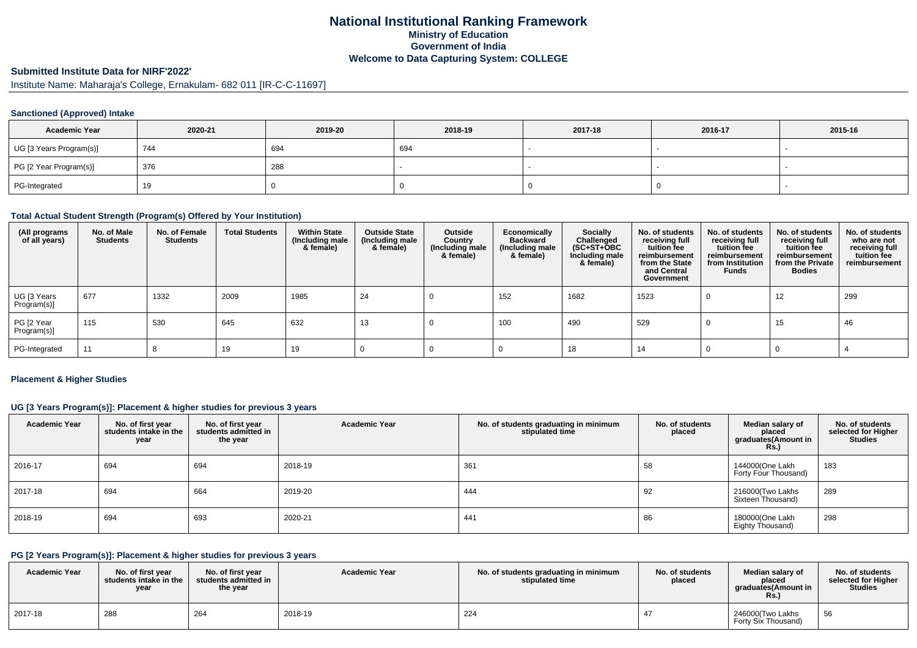## **National Institutional Ranking FrameworkMinistry of Education Government of IndiaWelcome to Data Capturing System: COLLEGE**

## **Submitted Institute Data for NIRF'2022'**

Institute Name: Maharaja's College, Ernakulam- 682 011 [IR-C-C-11697]

## **Sanctioned (Approved) Intake**

| <b>Academic Year</b>    | 2020-21 | 2019-20 | 2018-19 | 2017-18 | 2016-17 | 2015-16 |
|-------------------------|---------|---------|---------|---------|---------|---------|
| UG [3 Years Program(s)] | 744     | 694     | 694     |         |         |         |
| PG [2 Year Program(s)]  | 376     | 288     |         |         |         |         |
| PG-Integrated           | 19      |         |         |         |         |         |

### **Total Actual Student Strength (Program(s) Offered by Your Institution)**

| (All programs<br>of all years) | No. of Male<br><b>Students</b> | No. of Female<br><b>Students</b> | <b>Total Students</b> | <b>Within State</b><br>(Including male<br>& female) | <b>Outside State</b><br>(Including male<br>& female) | Outside<br>Country<br>(Including male<br>& female) | Economically<br><b>Backward</b><br>(Including male<br>& female) | <b>Socially</b><br>Challenged<br>$(SC+ST+OBC)$<br>Including male<br>& female) | No. of students<br>receiving full<br>tuition fee<br>reimbursement<br>from the State<br>and Central<br>Government | No. of students<br>receiving full<br>tuition fee<br>reimbursement<br>from Institution<br><b>Funds</b> | No. of students<br>receiving full<br>tuition fee<br>reimbursement<br>from the Private<br><b>Bodies</b> | No. of students<br>who are not<br>receiving full<br>tuition fee<br>reimbursement |
|--------------------------------|--------------------------------|----------------------------------|-----------------------|-----------------------------------------------------|------------------------------------------------------|----------------------------------------------------|-----------------------------------------------------------------|-------------------------------------------------------------------------------|------------------------------------------------------------------------------------------------------------------|-------------------------------------------------------------------------------------------------------|--------------------------------------------------------------------------------------------------------|----------------------------------------------------------------------------------|
| UG [3 Years<br>Program(s)]     | 677                            | 1332                             | 2009                  | 1985                                                | 24                                                   |                                                    | 152                                                             | 1682                                                                          | 1523                                                                                                             |                                                                                                       | 12                                                                                                     | 299                                                                              |
| PG [2 Year<br>Program(s)]      | 115                            | 530                              | 645                   | 632                                                 | 13                                                   |                                                    | 100                                                             | 490                                                                           | 529                                                                                                              |                                                                                                       | 15                                                                                                     | 46                                                                               |
| PG-Integrated                  | 11                             |                                  | 19                    | 19                                                  |                                                      |                                                    |                                                                 | 18                                                                            | 14                                                                                                               |                                                                                                       |                                                                                                        |                                                                                  |

## **Placement & Higher Studies**

## **UG [3 Years Program(s)]: Placement & higher studies for previous 3 years**

| <b>Academic Year</b> | No. of first year<br>students intake in the<br>year | No. of first year<br>students admitted in<br>the year | <b>Academic Year</b> | No. of students graduating in minimum<br>stipulated time | No. of students<br>placed | Median salary of<br>placed<br>graduates(Amount in<br><b>Rs.)</b> | No. of students<br>selected for Higher<br><b>Studies</b> |
|----------------------|-----------------------------------------------------|-------------------------------------------------------|----------------------|----------------------------------------------------------|---------------------------|------------------------------------------------------------------|----------------------------------------------------------|
| 2016-17              | 694                                                 | 694                                                   | 2018-19              | 361                                                      | 58                        | 144000(One Lakh<br>Forty Four Thousand)                          | 183                                                      |
| 2017-18              | 694                                                 | 664                                                   | 2019-20              | 444                                                      | 92                        | 216000(Two Lakhs<br>Sixteen Thousand)                            | 289                                                      |
| 2018-19              | 694                                                 | 693                                                   | 2020-21              | 441                                                      | 86                        | 180000(One Lakh<br>Eighty Thousand)                              | 298                                                      |

#### **PG [2 Years Program(s)]: Placement & higher studies for previous 3 years**

| <b>Academic Year</b> | No. of first vear<br>students intake in the<br>year | No. of first vear<br>students admitted in<br>the year | <b>Academic Year</b> | No. of students graduating in minimum<br>stipulated time | No. of students<br>placed | Median salary of<br>placed<br>araduates(Amount in<br>KS. | No. of students<br>selected for Higher<br><b>Studies</b> |
|----------------------|-----------------------------------------------------|-------------------------------------------------------|----------------------|----------------------------------------------------------|---------------------------|----------------------------------------------------------|----------------------------------------------------------|
| 2017-18              | 288                                                 | 264                                                   | 2018-19              | 224                                                      |                           | 246000(Two Lakhs<br>Forty Six Thousand)                  | 56                                                       |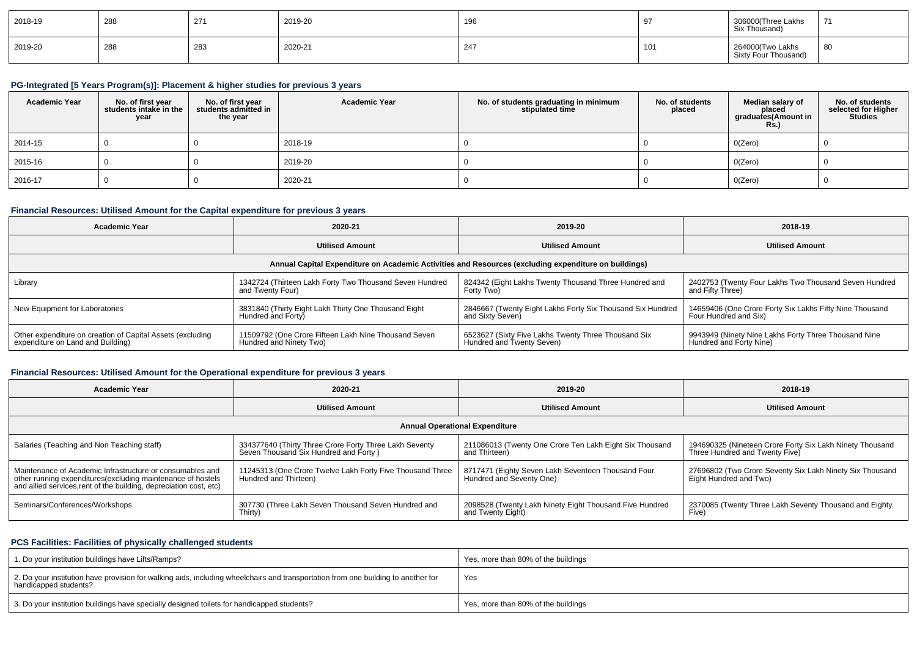| 2018-19 | 288 | 27' | 2019-20 | 196 | $\sim$ | 306000(Three Lakhs<br>Six Thousand)      | 71 |
|---------|-----|-----|---------|-----|--------|------------------------------------------|----|
| 2019-20 | 288 | 283 | 2020-21 | 247 | 101    | 264000(Two Lakhs<br>Sixty Four Thousand) | 80 |

## **PG-Integrated [5 Years Program(s)]: Placement & higher studies for previous 3 years**

| <b>Academic Year</b> | No. of first year<br>students intake in the<br>year | No. of first vear<br>students admitted in<br>the year | <b>Academic Year</b> | No. of students graduating in minimum<br>stipulated time | No. of students<br>placed | Median salary of<br>placed<br>graduates(Amount in<br><b>Rs.)</b> | No. of students<br>selected for Higher<br>Studies |
|----------------------|-----------------------------------------------------|-------------------------------------------------------|----------------------|----------------------------------------------------------|---------------------------|------------------------------------------------------------------|---------------------------------------------------|
| 2014-15              |                                                     |                                                       | 2018-19              |                                                          |                           | 0(Zero)                                                          |                                                   |
| 2015-16              |                                                     |                                                       | 2019-20              |                                                          |                           | 0(Zero)                                                          |                                                   |
| 2016-17              |                                                     |                                                       | 2020-21              |                                                          |                           | 0(Zero)                                                          |                                                   |

# **Financial Resources: Utilised Amount for the Capital expenditure for previous 3 years**

| <b>Academic Year</b>                                                                                 | 2020-21                                                 |                                                            | 2018-19                                                 |  |  |  |  |  |  |  |  |
|------------------------------------------------------------------------------------------------------|---------------------------------------------------------|------------------------------------------------------------|---------------------------------------------------------|--|--|--|--|--|--|--|--|
|                                                                                                      | <b>Utilised Amount</b>                                  | <b>Utilised Amount</b>                                     | <b>Utilised Amount</b>                                  |  |  |  |  |  |  |  |  |
| Annual Capital Expenditure on Academic Activities and Resources (excluding expenditure on buildings) |                                                         |                                                            |                                                         |  |  |  |  |  |  |  |  |
| Library                                                                                              | 1342724 (Thirteen Lakh Forty Two Thousand Seven Hundred | 824342 (Eight Lakhs Twenty Thousand Three Hundred and      | 2402753 (Twenty Four Lakhs Two Thousand Seven Hundred   |  |  |  |  |  |  |  |  |
|                                                                                                      | and Twenty Four)                                        | Forty Two)                                                 | and Fifty Three)                                        |  |  |  |  |  |  |  |  |
| New Equipment for Laboratories                                                                       | 3831840 (Thirty Eight Lakh Thirty One Thousand Eight    | 2846667 (Twenty Eight Lakhs Forty Six Thousand Six Hundred | 14659406 (One Crore Forty Six Lakhs Fifty Nine Thousand |  |  |  |  |  |  |  |  |
|                                                                                                      | Hundred and Forty)                                      | and Sixty Seven)                                           | Four Hundred and Six)                                   |  |  |  |  |  |  |  |  |
| Other expenditure on creation of Capital Assets (excluding                                           | 11509792 (One Crore Fifteen Lakh Nine Thousand Seven    | 6523627 (Sixty Five Lakhs Twenty Three Thousand Six        | 9943949 (Ninety Nine Lakhs Forty Three Thousand Nine    |  |  |  |  |  |  |  |  |
| expenditure on Land and Building)                                                                    | Hundred and Ninety Two)                                 | Hundred and Twenty Seven)                                  | Hundred and Forty Nine)                                 |  |  |  |  |  |  |  |  |

# **Financial Resources: Utilised Amount for the Operational expenditure for previous 3 years**

| <b>Academic Year</b>                                                                                                                                                                            | 2020-21                                                                                         | 2019-20                                                                        | 2018-19                                                                                    |  |
|-------------------------------------------------------------------------------------------------------------------------------------------------------------------------------------------------|-------------------------------------------------------------------------------------------------|--------------------------------------------------------------------------------|--------------------------------------------------------------------------------------------|--|
|                                                                                                                                                                                                 | <b>Utilised Amount</b>                                                                          |                                                                                | <b>Utilised Amount</b>                                                                     |  |
|                                                                                                                                                                                                 |                                                                                                 | <b>Annual Operational Expenditure</b>                                          |                                                                                            |  |
| Salaries (Teaching and Non Teaching staff)                                                                                                                                                      | 334377640 (Thirty Three Crore Forty Three Lakh Seventy<br>Seven Thousand Six Hundred and Forty) | 211086013 (Twenty One Crore Ten Lakh Eight Six Thousand<br>and Thirteen)       | 194690325 (Nineteen Crore Forty Six Lakh Ninety Thousand<br>Three Hundred and Twenty Five) |  |
| Maintenance of Academic Infrastructure or consumables and<br>other running expenditures (excluding maintenance of hostels<br>and allied services, rent of the building, depreciation cost, etc) | 11245313 (One Crore Twelve Lakh Forty Five Thousand Three<br>Hundred and Thirteen)              | 8717471 (Eighty Seven Lakh Seventeen Thousand Four<br>Hundred and Seventy One) | 27696802 (Two Crore Seventy Six Lakh Ninety Six Thousand<br>Eight Hundred and Two)         |  |
| Seminars/Conferences/Workshops                                                                                                                                                                  | 307730 (Three Lakh Seven Thousand Seven Hundred and<br>Thirty)                                  | 2098528 (Twenty Lakh Ninety Eight Thousand Five Hundred<br>and Twenty Eight)   | 2370085 (Twenty Three Lakh Seventy Thousand and Eighty<br>Five)                            |  |

## **PCS Facilities: Facilities of physically challenged students**

| 1. Do your institution buildings have Lifts/Ramps?                                                                                                         | Yes, more than 80% of the buildings |
|------------------------------------------------------------------------------------------------------------------------------------------------------------|-------------------------------------|
| 2. Do your institution have provision for walking aids, including wheelchairs and transportation from one building to another for<br>handicapped students? | Yes                                 |
| 3. Do your institution buildings have specially designed toilets for handicapped students?                                                                 | Yes, more than 80% of the buildings |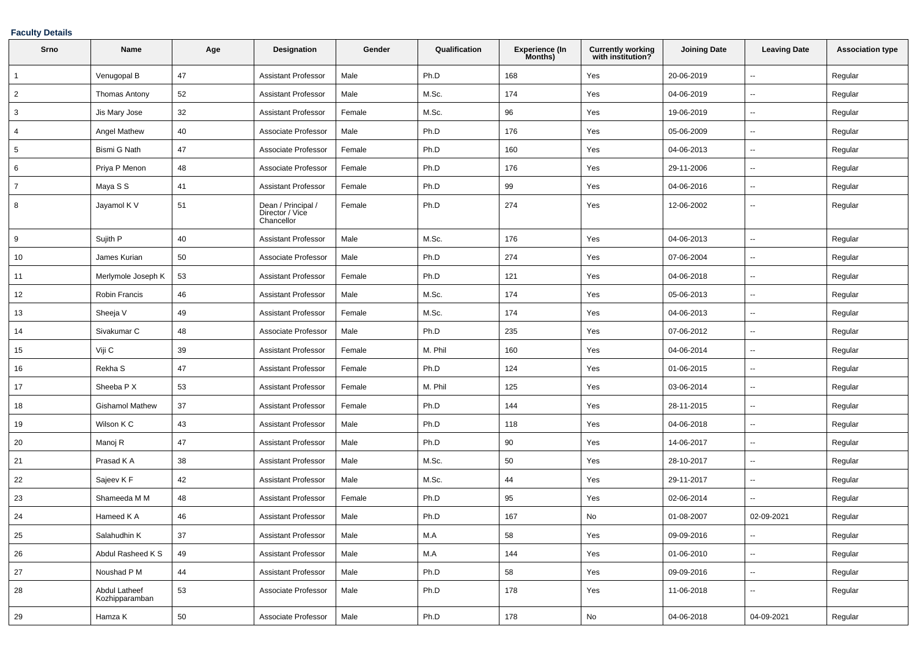## **Faculty Details**

| Srno           | <b>Name</b>                     | Age | <b>Designation</b>                                  | Gender | Qualification | <b>Experience (In</b><br>Months) | <b>Currently working</b><br>with institution? | <b>Joining Date</b> | <b>Leaving Date</b>      | <b>Association type</b> |
|----------------|---------------------------------|-----|-----------------------------------------------------|--------|---------------|----------------------------------|-----------------------------------------------|---------------------|--------------------------|-------------------------|
| $\overline{1}$ | Venugopal B                     | 47  | <b>Assistant Professor</b>                          | Male   | Ph.D          | 168                              | Yes                                           | 20-06-2019          | $\sim$                   | Regular                 |
| $\overline{2}$ | Thomas Antony                   | 52  | <b>Assistant Professor</b>                          | Male   | M.Sc.         | 174                              | Yes                                           | 04-06-2019          | $\overline{\phantom{a}}$ | Regular                 |
| 3              | Jis Mary Jose                   | 32  | <b>Assistant Professor</b>                          | Female | M.Sc.         | 96                               | Yes                                           | 19-06-2019          | $\overline{\phantom{a}}$ | Regular                 |
| $\overline{4}$ | Angel Mathew                    | 40  | Associate Professor                                 | Male   | Ph.D          | 176                              | Yes                                           | 05-06-2009          | $\sim$                   | Regular                 |
| 5              | Bismi G Nath                    | 47  | Associate Professor                                 | Female | Ph.D          | 160                              | Yes                                           | 04-06-2013          | $\sim$                   | Regular                 |
| 6              | Priya P Menon                   | 48  | Associate Professor                                 | Female | Ph.D          | 176                              | Yes                                           | 29-11-2006          | $\overline{\phantom{a}}$ | Regular                 |
| $\overline{7}$ | Maya S S                        | 41  | <b>Assistant Professor</b>                          | Female | Ph.D          | 99                               | Yes                                           | 04-06-2016          | $\sim$                   | Regular                 |
| 8              | Jayamol K V                     | 51  | Dean / Principal /<br>Director / Vice<br>Chancellor | Female | Ph.D          | 274                              | Yes                                           | 12-06-2002          | $\sim$                   | Regular                 |
| 9              | Sujith P                        | 40  | <b>Assistant Professor</b>                          | Male   | M.Sc.         | 176                              | Yes                                           | 04-06-2013          | $\overline{\phantom{a}}$ | Regular                 |
| 10             | James Kurian                    | 50  | Associate Professor                                 | Male   | Ph.D          | 274                              | Yes                                           | 07-06-2004          | $\sim$                   | Regular                 |
| 11             | Merlymole Joseph K              | 53  | <b>Assistant Professor</b>                          | Female | Ph.D          | 121                              | Yes                                           | 04-06-2018          | $\sim$                   | Regular                 |
| 12             | Robin Francis                   | 46  | <b>Assistant Professor</b>                          | Male   | M.Sc.         | 174                              | Yes                                           | 05-06-2013          | $\sim$                   | Regular                 |
| 13             | Sheeja V                        | 49  | <b>Assistant Professor</b>                          | Female | M.Sc.         | 174                              | Yes                                           | 04-06-2013          | $\sim$                   | Regular                 |
| 14             | Sivakumar C                     | 48  | Associate Professor                                 | Male   | Ph.D          | 235                              | Yes                                           | 07-06-2012          | $\overline{\phantom{a}}$ | Regular                 |
| 15             | Viji C                          | 39  | <b>Assistant Professor</b>                          | Female | M. Phil       | 160                              | Yes                                           | 04-06-2014          | $\sim$                   | Regular                 |
| 16             | Rekha S                         | 47  | <b>Assistant Professor</b>                          | Female | Ph.D          | 124                              | Yes                                           | 01-06-2015          | $\overline{\phantom{a}}$ | Regular                 |
| 17             | Sheeba P X                      | 53  | <b>Assistant Professor</b>                          | Female | M. Phil       | 125                              | Yes                                           | 03-06-2014          | $\sim$                   | Regular                 |
| 18             | <b>Gishamol Mathew</b>          | 37  | <b>Assistant Professor</b>                          | Female | Ph.D          | 144                              | Yes                                           | 28-11-2015          | $\sim$                   | Regular                 |
| 19             | Wilson K C                      | 43  | <b>Assistant Professor</b>                          | Male   | Ph.D          | 118                              | Yes                                           | 04-06-2018          | $\overline{\phantom{a}}$ | Regular                 |
| 20             | Manoj R                         | 47  | <b>Assistant Professor</b>                          | Male   | Ph.D          | 90                               | Yes                                           | 14-06-2017          | $\overline{\phantom{a}}$ | Regular                 |
| 21             | Prasad K A                      | 38  | <b>Assistant Professor</b>                          | Male   | M.Sc.         | 50                               | Yes                                           | 28-10-2017          | $\sim$                   | Regular                 |
| 22             | Sajeev K F                      | 42  | <b>Assistant Professor</b>                          | Male   | M.Sc.         | 44                               | Yes                                           | 29-11-2017          | $\overline{\phantom{a}}$ | Regular                 |
| 23             | Shameeda M M                    | 48  | <b>Assistant Professor</b>                          | Female | Ph.D          | 95                               | Yes                                           | 02-06-2014          | $\sim$                   | Regular                 |
| 24             | Hameed K A                      | 46  | <b>Assistant Professor</b>                          | Male   | Ph.D          | 167                              | No                                            | 01-08-2007          | 02-09-2021               | Regular                 |
| 25             | Salahudhin K                    | 37  | <b>Assistant Professor</b>                          | Male   | M.A           | 58                               | Yes                                           | 09-09-2016          | $\sim$                   | Regular                 |
| 26             | Abdul Rasheed K S               | 49  | <b>Assistant Professor</b>                          | Male   | M.A           | 144                              | Yes                                           | 01-06-2010          | $\sim$                   | Regular                 |
| 27             | Noushad P M                     | 44  | <b>Assistant Professor</b>                          | Male   | Ph.D          | 58                               | Yes                                           | 09-09-2016          | $\sim$                   | Regular                 |
| 28             | Abdul Latheef<br>Kozhipparamban | 53  | Associate Professor                                 | Male   | Ph.D          | 178                              | Yes                                           | 11-06-2018          | $\overline{\phantom{a}}$ | Regular                 |
| 29             | Hamza K                         | 50  | Associate Professor                                 | Male   | Ph.D          | 178                              | No                                            | 04-06-2018          | 04-09-2021               | Regular                 |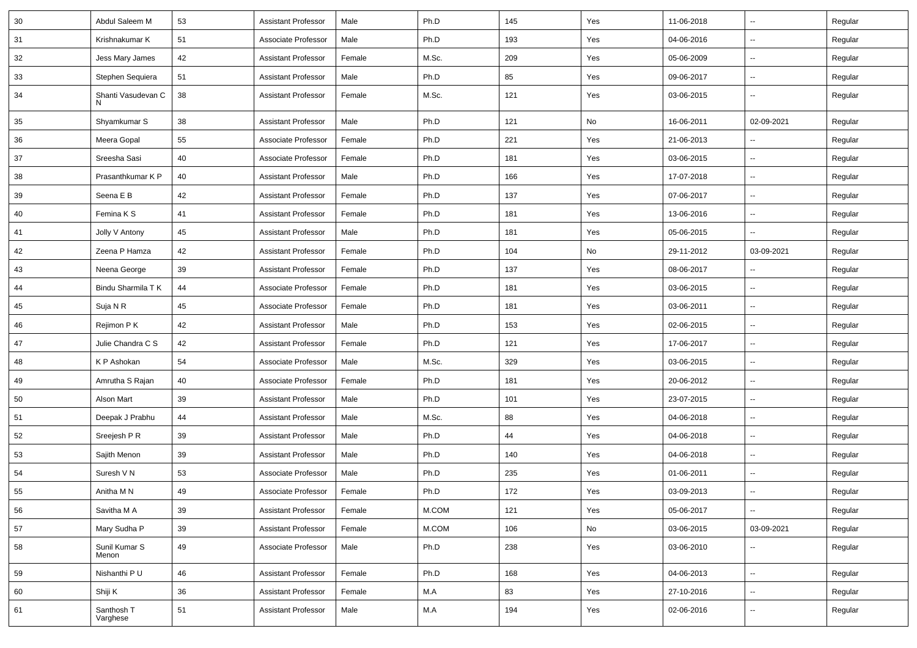| 30 | Abdul Saleem M          | 53 | <b>Assistant Professor</b> | Male   | Ph.D  | 145 | Yes | 11-06-2018 | $\overline{\phantom{a}}$ | Regular |
|----|-------------------------|----|----------------------------|--------|-------|-----|-----|------------|--------------------------|---------|
| 31 | Krishnakumar K          | 51 | Associate Professor        | Male   | Ph.D  | 193 | Yes | 04-06-2016 | --                       | Regular |
| 32 | Jess Mary James         | 42 | <b>Assistant Professor</b> | Female | M.Sc. | 209 | Yes | 05-06-2009 | $\overline{\phantom{a}}$ | Regular |
| 33 | Stephen Sequiera        | 51 | <b>Assistant Professor</b> | Male   | Ph.D  | 85  | Yes | 09-06-2017 | $\overline{\phantom{a}}$ | Regular |
| 34 | Shanti Vasudevan C<br>N | 38 | <b>Assistant Professor</b> | Female | M.Sc. | 121 | Yes | 03-06-2015 | -−                       | Regular |
| 35 | Shyamkumar S            | 38 | <b>Assistant Professor</b> | Male   | Ph.D  | 121 | No  | 16-06-2011 | 02-09-2021               | Regular |
| 36 | Meera Gopal             | 55 | Associate Professor        | Female | Ph.D  | 221 | Yes | 21-06-2013 |                          | Regular |
| 37 | Sreesha Sasi            | 40 | Associate Professor        | Female | Ph.D  | 181 | Yes | 03-06-2015 | $\sim$                   | Regular |
| 38 | Prasanthkumar K P       | 40 | <b>Assistant Professor</b> | Male   | Ph.D  | 166 | Yes | 17-07-2018 | ⊶.                       | Regular |
| 39 | Seena E B               | 42 | <b>Assistant Professor</b> | Female | Ph.D  | 137 | Yes | 07-06-2017 | $\overline{\phantom{a}}$ | Regular |
| 40 | Femina K S              | 41 | <b>Assistant Professor</b> | Female | Ph.D  | 181 | Yes | 13-06-2016 | --                       | Regular |
| 41 | Jolly V Antony          | 45 | <b>Assistant Professor</b> | Male   | Ph.D  | 181 | Yes | 05-06-2015 | -−                       | Regular |
| 42 | Zeena P Hamza           | 42 | <b>Assistant Professor</b> | Female | Ph.D  | 104 | No  | 29-11-2012 | 03-09-2021               | Regular |
| 43 | Neena George            | 39 | <b>Assistant Professor</b> | Female | Ph.D  | 137 | Yes | 08-06-2017 | $\overline{\phantom{a}}$ | Regular |
| 44 | Bindu Sharmila T K      | 44 | Associate Professor        | Female | Ph.D  | 181 | Yes | 03-06-2015 | ⊶.                       | Regular |
| 45 | Suja N R                | 45 | Associate Professor        | Female | Ph.D  | 181 | Yes | 03-06-2011 | $\overline{\phantom{a}}$ | Regular |
| 46 | Rejimon P K             | 42 | <b>Assistant Professor</b> | Male   | Ph.D  | 153 | Yes | 02-06-2015 | $\overline{\phantom{a}}$ | Regular |
| 47 | Julie Chandra C S       | 42 | <b>Assistant Professor</b> | Female | Ph.D  | 121 | Yes | 17-06-2017 | $\overline{\phantom{a}}$ | Regular |
| 48 | K P Ashokan             | 54 | Associate Professor        | Male   | M.Sc. | 329 | Yes | 03-06-2015 | $\overline{\phantom{a}}$ | Regular |
| 49 | Amrutha S Rajan         | 40 | Associate Professor        | Female | Ph.D  | 181 | Yes | 20-06-2012 | $\sim$                   | Regular |
| 50 | Alson Mart              | 39 | <b>Assistant Professor</b> | Male   | Ph.D  | 101 | Yes | 23-07-2015 | --                       | Regular |
| 51 | Deepak J Prabhu         | 44 | <b>Assistant Professor</b> | Male   | M.Sc. | 88  | Yes | 04-06-2018 | Ξ.                       | Regular |
| 52 | Sreejesh P R            | 39 | <b>Assistant Professor</b> | Male   | Ph.D  | 44  | Yes | 04-06-2018 | --                       | Regular |
| 53 | Sajith Menon            | 39 | <b>Assistant Professor</b> | Male   | Ph.D  | 140 | Yes | 04-06-2018 | --                       | Regular |
| 54 | Suresh V N              | 53 | Associate Professor        | Male   | Ph.D  | 235 | Yes | 01-06-2011 | Щ,                       | Regular |
| 55 | Anitha M N              | 49 | Associate Professor        | Female | Ph.D  | 172 | Yes | 03-09-2013 | Щ,                       | Regular |
| 56 | Savitha M A             | 39 | <b>Assistant Professor</b> | Female | M.COM | 121 | Yes | 05-06-2017 | $\overline{\phantom{a}}$ | Regular |
| 57 | Mary Sudha P            | 39 | <b>Assistant Professor</b> | Female | M.COM | 106 | No  | 03-06-2015 | 03-09-2021               | Regular |
| 58 | Sunil Kumar S<br>Menon  | 49 | Associate Professor        | Male   | Ph.D  | 238 | Yes | 03-06-2010 | --                       | Regular |
| 59 | Nishanthi P U           | 46 | <b>Assistant Professor</b> | Female | Ph.D  | 168 | Yes | 04-06-2013 | Щ,                       | Regular |
| 60 | Shiji K                 | 36 | <b>Assistant Professor</b> | Female | M.A   | 83  | Yes | 27-10-2016 | -−                       | Regular |
| 61 | Santhosh T<br>Varghese  | 51 | <b>Assistant Professor</b> | Male   | M.A   | 194 | Yes | 02-06-2016 | $\overline{\phantom{a}}$ | Regular |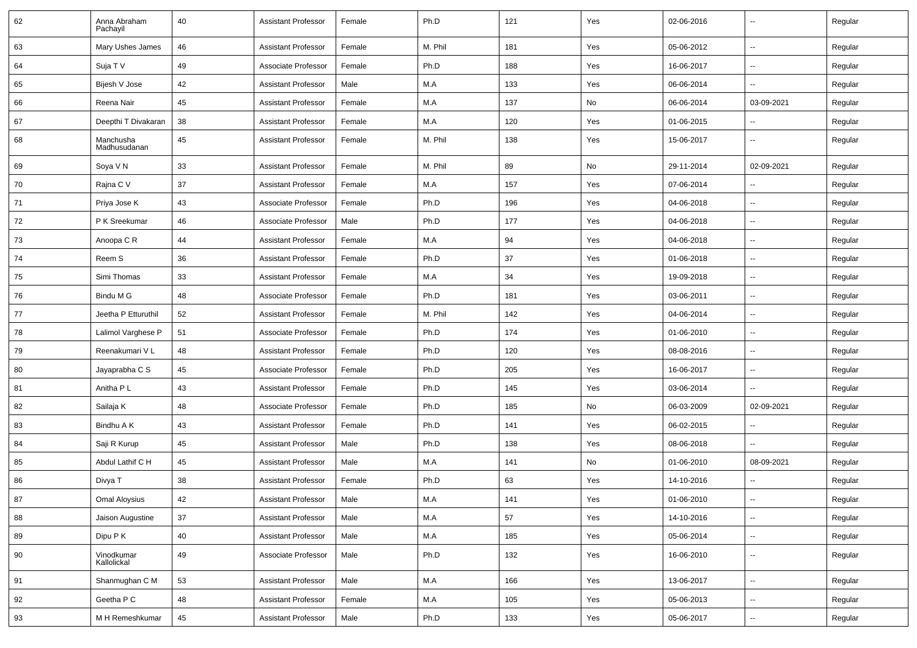| 62 | Anna Abraham<br>Pachayil  | 40 | Assistant Professor        | Female | Ph.D    | 121 | Yes | 02-06-2016 | --                       | Regular |
|----|---------------------------|----|----------------------------|--------|---------|-----|-----|------------|--------------------------|---------|
| 63 | Mary Ushes James          | 46 | <b>Assistant Professor</b> | Female | M. Phil | 181 | Yes | 05-06-2012 | $\sim$                   | Regular |
| 64 | Suja T V                  | 49 | Associate Professor        | Female | Ph.D    | 188 | Yes | 16-06-2017 | -−                       | Regular |
| 65 | Bijesh V Jose             | 42 | <b>Assistant Professor</b> | Male   | M.A     | 133 | Yes | 06-06-2014 | -−                       | Regular |
| 66 | Reena Nair                | 45 | <b>Assistant Professor</b> | Female | M.A     | 137 | No  | 06-06-2014 | 03-09-2021               | Regular |
| 67 | Deepthi T Divakaran       | 38 | <b>Assistant Professor</b> | Female | M.A     | 120 | Yes | 01-06-2015 |                          | Regular |
| 68 | Manchusha<br>Madhusudanan | 45 | <b>Assistant Professor</b> | Female | M. Phil | 138 | Yes | 15-06-2017 | $\sim$                   | Regular |
| 69 | Soya V N                  | 33 | <b>Assistant Professor</b> | Female | M. Phil | 89  | No  | 29-11-2014 | 02-09-2021               | Regular |
| 70 | Rajna C V                 | 37 | <b>Assistant Professor</b> | Female | M.A     | 157 | Yes | 07-06-2014 | $\sim$                   | Regular |
| 71 | Priya Jose K              | 43 | Associate Professor        | Female | Ph.D    | 196 | Yes | 04-06-2018 | --                       | Regular |
| 72 | P K Sreekumar             | 46 | Associate Professor        | Male   | Ph.D    | 177 | Yes | 04-06-2018 | $\overline{\phantom{a}}$ | Regular |
| 73 | Anoopa C R                | 44 | <b>Assistant Professor</b> | Female | M.A     | 94  | Yes | 04-06-2018 | $\overline{\phantom{a}}$ | Regular |
| 74 | Reem S                    | 36 | <b>Assistant Professor</b> | Female | Ph.D    | 37  | Yes | 01-06-2018 | -−                       | Regular |
| 75 | Simi Thomas               | 33 | <b>Assistant Professor</b> | Female | M.A     | 34  | Yes | 19-09-2018 | $\sim$                   | Regular |
| 76 | Bindu M G                 | 48 | Associate Professor        | Female | Ph.D    | 181 | Yes | 03-06-2011 | $\sim$                   | Regular |
| 77 | Jeetha P Etturuthil       | 52 | <b>Assistant Professor</b> | Female | M. Phil | 142 | Yes | 04-06-2014 | -−                       | Regular |
| 78 | Lalimol Varghese P        | 51 | Associate Professor        | Female | Ph.D    | 174 | Yes | 01-06-2010 | -−                       | Regular |
| 79 | Reenakumari VL            | 48 | <b>Assistant Professor</b> | Female | Ph.D    | 120 | Yes | 08-08-2016 | --                       | Regular |
| 80 | Jayaprabha C S            | 45 | Associate Professor        | Female | Ph.D    | 205 | Yes | 16-06-2017 | $\overline{\phantom{a}}$ | Regular |
| 81 | Anitha P L                | 43 | <b>Assistant Professor</b> | Female | Ph.D    | 145 | Yes | 03-06-2014 | Ξ.                       | Regular |
| 82 | Sailaja K                 | 48 | Associate Professor        | Female | Ph.D    | 185 | No  | 06-03-2009 | 02-09-2021               | Regular |
| 83 | Bindhu A K                | 43 | <b>Assistant Professor</b> | Female | Ph.D    | 141 | Yes | 06-02-2015 | --                       | Regular |
| 84 | Saji R Kurup              | 45 | <b>Assistant Professor</b> | Male   | Ph.D    | 138 | Yes | 08-06-2018 | -−                       | Regular |
| 85 | Abdul Lathif C H          | 45 | <b>Assistant Professor</b> | Male   | M.A     | 141 | No  | 01-06-2010 | 08-09-2021               | Regular |
| 86 | Divya T                   | 38 | <b>Assistant Professor</b> | Female | Ph.D    | 63  | Yes | 14-10-2016 |                          | Regular |
| 87 | Omal Aloysius             | 42 | <b>Assistant Professor</b> | Male   | M.A     | 141 | Yes | 01-06-2010 |                          | Regular |
| 88 | Jaison Augustine          | 37 | <b>Assistant Professor</b> | Male   | M.A     | 57  | Yes | 14-10-2016 | $\sim$                   | Regular |
| 89 | Dipu P K                  | 40 | <b>Assistant Professor</b> | Male   | M.A     | 185 | Yes | 05-06-2014 | Щ,                       | Regular |
| 90 | Vinodkumar<br>Kallolickal | 49 | Associate Professor        | Male   | Ph.D    | 132 | Yes | 16-06-2010 | $\overline{\phantom{a}}$ | Regular |
| 91 | Shanmughan C M            | 53 | <b>Assistant Professor</b> | Male   | M.A     | 166 | Yes | 13-06-2017 | $\overline{\phantom{a}}$ | Regular |
| 92 | Geetha P C                | 48 | <b>Assistant Professor</b> | Female | M.A     | 105 | Yes | 05-06-2013 | $\overline{\phantom{a}}$ | Regular |
| 93 | M H Remeshkumar           | 45 | <b>Assistant Professor</b> | Male   | Ph.D    | 133 | Yes | 05-06-2017 | $\overline{\phantom{a}}$ | Regular |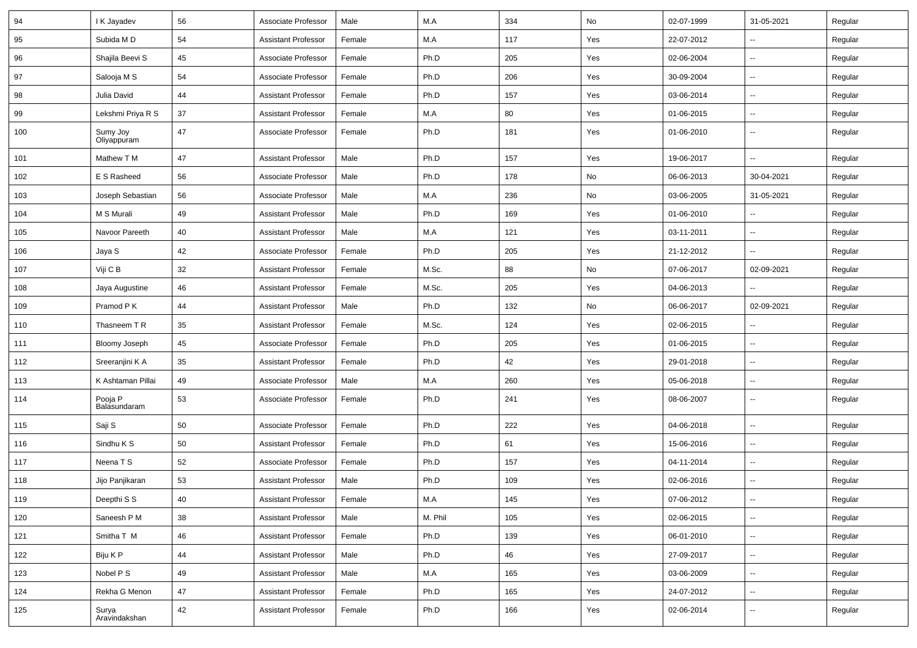| 94  | I K Jayadev             | 56 | Associate Professor        | Male   | M.A     | 334 | No  | 02-07-1999 | 31-05-2021               | Regular |
|-----|-------------------------|----|----------------------------|--------|---------|-----|-----|------------|--------------------------|---------|
| 95  | Subida M D              | 54 | <b>Assistant Professor</b> | Female | M.A     | 117 | Yes | 22-07-2012 | $\overline{\phantom{a}}$ | Regular |
| 96  | Shajila Beevi S         | 45 | Associate Professor        | Female | Ph.D    | 205 | Yes | 02-06-2004 | $\overline{\phantom{a}}$ | Regular |
| 97  | Salooja M S             | 54 | Associate Professor        | Female | Ph.D    | 206 | Yes | 30-09-2004 | $\overline{\phantom{a}}$ | Regular |
| 98  | Julia David             | 44 | <b>Assistant Professor</b> | Female | Ph.D    | 157 | Yes | 03-06-2014 | $\overline{\phantom{a}}$ | Regular |
| 99  | Lekshmi Priya R S       | 37 | <b>Assistant Professor</b> | Female | M.A     | 80  | Yes | 01-06-2015 | Ξ.                       | Regular |
| 100 | Sumy Joy<br>Oliyappuram | 47 | Associate Professor        | Female | Ph.D    | 181 | Yes | 01-06-2010 | н.                       | Regular |
| 101 | Mathew T M              | 47 | <b>Assistant Professor</b> | Male   | Ph.D    | 157 | Yes | 19-06-2017 | Ξ.                       | Regular |
| 102 | E S Rasheed             | 56 | Associate Professor        | Male   | Ph.D    | 178 | No  | 06-06-2013 | 30-04-2021               | Regular |
| 103 | Joseph Sebastian        | 56 | Associate Professor        | Male   | M.A     | 236 | No  | 03-06-2005 | 31-05-2021               | Regular |
| 104 | M S Murali              | 49 | <b>Assistant Professor</b> | Male   | Ph.D    | 169 | Yes | 01-06-2010 |                          | Regular |
| 105 | Navoor Pareeth          | 40 | <b>Assistant Professor</b> | Male   | M.A     | 121 | Yes | 03-11-2011 | -−                       | Regular |
| 106 | Jaya S                  | 42 | Associate Professor        | Female | Ph.D    | 205 | Yes | 21-12-2012 | Ξ.                       | Regular |
| 107 | Viji C B                | 32 | <b>Assistant Professor</b> | Female | M.Sc.   | 88  | No  | 07-06-2017 | 02-09-2021               | Regular |
| 108 | Jaya Augustine          | 46 | <b>Assistant Professor</b> | Female | M.Sc.   | 205 | Yes | 04-06-2013 | $\overline{\phantom{a}}$ | Regular |
| 109 | Pramod P K              | 44 | <b>Assistant Professor</b> | Male   | Ph.D    | 132 | No  | 06-06-2017 | 02-09-2021               | Regular |
| 110 | Thasneem T R            | 35 | <b>Assistant Professor</b> | Female | M.Sc.   | 124 | Yes | 02-06-2015 | $\overline{\phantom{a}}$ | Regular |
| 111 | Bloomy Joseph           | 45 | Associate Professor        | Female | Ph.D    | 205 | Yes | 01-06-2015 | -−                       | Regular |
| 112 | Sreeranjini K A         | 35 | <b>Assistant Professor</b> | Female | Ph.D    | 42  | Yes | 29-01-2018 | Ξ.                       | Regular |
| 113 | K Ashtaman Pillai       | 49 | Associate Professor        | Male   | M.A     | 260 | Yes | 05-06-2018 | $\sim$                   | Regular |
| 114 | Pooja P<br>Balasundaram | 53 | Associate Professor        | Female | Ph.D    | 241 | Yes | 08-06-2007 | $\overline{\phantom{a}}$ | Regular |
| 115 | Saji S                  | 50 | Associate Professor        | Female | Ph.D    | 222 | Yes | 04-06-2018 | $\overline{\phantom{a}}$ | Regular |
| 116 | Sindhu K S              | 50 | <b>Assistant Professor</b> | Female | Ph.D    | 61  | Yes | 15-06-2016 | Щ,                       | Regular |
| 117 | Neena T S               | 52 | Associate Professor        | Female | Ph.D    | 157 | Yes | 04-11-2014 | $\overline{\phantom{a}}$ | Regular |
| 118 | Jijo Panjikaran         | 53 | <b>Assistant Professor</b> | Male   | Ph.D    | 109 | Yes | 02-06-2016 | --                       | Regular |
| 119 | Deepthi S S             | 40 | Assistant Professor        | Female | M.A     | 145 | Yes | 07-06-2012 |                          | Regular |
| 120 | Saneesh P M             | 38 | <b>Assistant Professor</b> | Male   | M. Phil | 105 | Yes | 02-06-2015 | $\sim$                   | Regular |
| 121 | Smitha T M              | 46 | <b>Assistant Professor</b> | Female | Ph.D    | 139 | Yes | 06-01-2010 | $\sim$                   | Regular |
| 122 | Biju K P                | 44 | <b>Assistant Professor</b> | Male   | Ph.D    | 46  | Yes | 27-09-2017 | $\sim$                   | Regular |
| 123 | Nobel P S               | 49 | <b>Assistant Professor</b> | Male   | M.A     | 165 | Yes | 03-06-2009 | $\sim$                   | Regular |
| 124 | Rekha G Menon           | 47 | <b>Assistant Professor</b> | Female | Ph.D    | 165 | Yes | 24-07-2012 | ⊷.                       | Regular |
| 125 | Surya<br>Aravindakshan  | 42 | <b>Assistant Professor</b> | Female | Ph.D    | 166 | Yes | 02-06-2014 | $\sim$                   | Regular |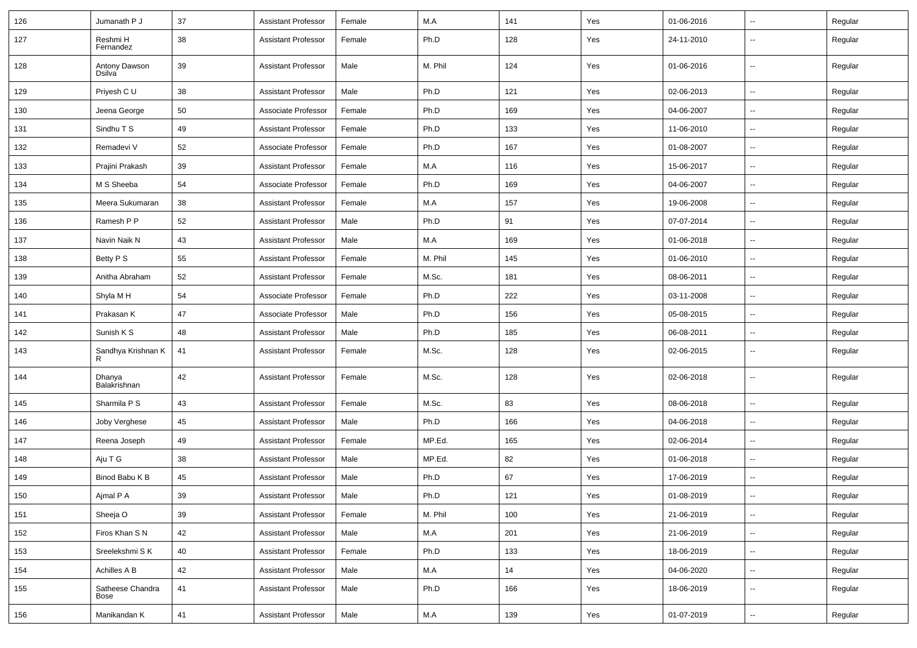| 126 | Jumanath P J             | 37 | <b>Assistant Professor</b> | Female | M.A     | 141 | Yes | 01-06-2016 | $\overline{\phantom{a}}$ | Regular |
|-----|--------------------------|----|----------------------------|--------|---------|-----|-----|------------|--------------------------|---------|
| 127 | Reshmi H<br>Fernandez    | 38 | <b>Assistant Professor</b> | Female | Ph.D    | 128 | Yes | 24-11-2010 | $\overline{\phantom{a}}$ | Regular |
| 128 | Antony Dawson<br>Dsilva  | 39 | <b>Assistant Professor</b> | Male   | M. Phil | 124 | Yes | 01-06-2016 | $\overline{\phantom{a}}$ | Regular |
| 129 | Priyesh C U              | 38 | <b>Assistant Professor</b> | Male   | Ph.D    | 121 | Yes | 02-06-2013 | $\overline{\phantom{a}}$ | Regular |
| 130 | Jeena George             | 50 | Associate Professor        | Female | Ph.D    | 169 | Yes | 04-06-2007 | $\overline{\phantom{a}}$ | Regular |
| 131 | Sindhu T S               | 49 | <b>Assistant Professor</b> | Female | Ph.D    | 133 | Yes | 11-06-2010 | --                       | Regular |
| 132 | Remadevi V               | 52 | Associate Professor        | Female | Ph.D    | 167 | Yes | 01-08-2007 | Щ,                       | Regular |
| 133 | Prajini Prakash          | 39 | <b>Assistant Professor</b> | Female | M.A     | 116 | Yes | 15-06-2017 | Ξ.                       | Regular |
| 134 | M S Sheeba               | 54 | Associate Professor        | Female | Ph.D    | 169 | Yes | 04-06-2007 | Щ,                       | Regular |
| 135 | Meera Sukumaran          | 38 | <b>Assistant Professor</b> | Female | M.A     | 157 | Yes | 19-06-2008 | $\overline{\phantom{a}}$ | Regular |
| 136 | Ramesh P P               | 52 | Assistant Professor        | Male   | Ph.D    | 91  | Yes | 07-07-2014 | Ξ.                       | Regular |
| 137 | Navin Naik N             | 43 | <b>Assistant Professor</b> | Male   | M.A     | 169 | Yes | 01-06-2018 | --                       | Regular |
| 138 | Betty P S                | 55 | <b>Assistant Professor</b> | Female | M. Phil | 145 | Yes | 01-06-2010 | $\overline{\phantom{a}}$ | Regular |
| 139 | Anitha Abraham           | 52 | <b>Assistant Professor</b> | Female | M.Sc.   | 181 | Yes | 08-06-2011 | Ξ.                       | Regular |
| 140 | Shyla M H                | 54 | Associate Professor        | Female | Ph.D    | 222 | Yes | 03-11-2008 | $\overline{\phantom{a}}$ | Regular |
| 141 | Prakasan K               | 47 | Associate Professor        | Male   | Ph.D    | 156 | Yes | 05-08-2015 | $\overline{\phantom{a}}$ | Regular |
| 142 | Sunish K S               | 48 | <b>Assistant Professor</b> | Male   | Ph.D    | 185 | Yes | 06-08-2011 | $\overline{\phantom{a}}$ | Regular |
| 143 | Sandhya Krishnan K<br>R  | 41 | <b>Assistant Professor</b> | Female | M.Sc.   | 128 | Yes | 02-06-2015 | --                       | Regular |
| 144 | Dhanya<br>Balakrishnan   | 42 | <b>Assistant Professor</b> | Female | M.Sc.   | 128 | Yes | 02-06-2018 | --                       | Regular |
| 145 | Sharmila P S             | 43 | <b>Assistant Professor</b> | Female | M.Sc.   | 83  | Yes | 08-06-2018 | $\overline{\phantom{a}}$ | Regular |
| 146 | Joby Verghese            | 45 | <b>Assistant Professor</b> | Male   | Ph.D    | 166 | Yes | 04-06-2018 | $\overline{\phantom{a}}$ | Regular |
| 147 | Reena Joseph             | 49 | <b>Assistant Professor</b> | Female | MP.Ed.  | 165 | Yes | 02-06-2014 | Ξ.                       | Regular |
| 148 | Aju T G                  | 38 | <b>Assistant Professor</b> | Male   | MP.Ed.  | 82  | Yes | 01-06-2018 | $\overline{\phantom{a}}$ | Regular |
| 149 | Binod Babu K B           | 45 | <b>Assistant Professor</b> | Male   | Ph.D    | 67  | Yes | 17-06-2019 | $\overline{\phantom{a}}$ | Regular |
| 150 | Aimal P A                | 39 | <b>Assistant Professor</b> | Male   | Ph.D    | 121 | Yes | 01-08-2019 | $\overline{\phantom{a}}$ | Regular |
| 151 | Sheeja O                 | 39 | <b>Assistant Professor</b> | Female | M. Phil | 100 | Yes | 21-06-2019 | Щ,                       | Regular |
| 152 | Firos Khan S N           | 42 | <b>Assistant Professor</b> | Male   | M.A     | 201 | Yes | 21-06-2019 | Щ,                       | Regular |
| 153 | Sreelekshmi SK           | 40 | <b>Assistant Professor</b> | Female | Ph.D    | 133 | Yes | 18-06-2019 | Щ,                       | Regular |
| 154 | Achilles A B             | 42 | <b>Assistant Professor</b> | Male   | M.A     | 14  | Yes | 04-06-2020 | щ.                       | Regular |
| 155 | Satheese Chandra<br>Bose | 41 | <b>Assistant Professor</b> | Male   | Ph.D    | 166 | Yes | 18-06-2019 | Щ,                       | Regular |
| 156 | Manikandan K             | 41 | <b>Assistant Professor</b> | Male   | M.A     | 139 | Yes | 01-07-2019 | ₩,                       | Regular |